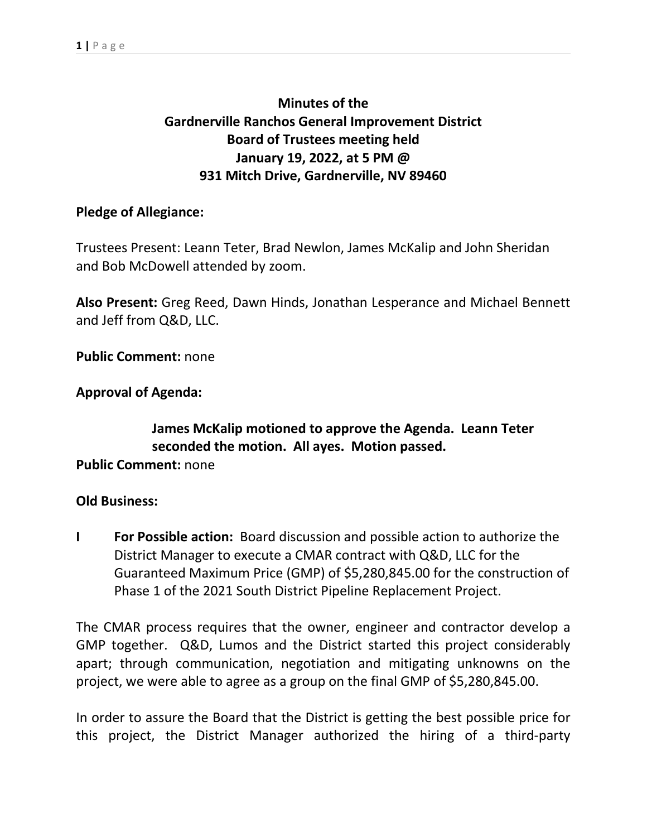# **Minutes of the Gardnerville Ranchos General Improvement District Board of Trustees meeting held January 19, 2022, at 5 PM @ 931 Mitch Drive, Gardnerville, NV 89460**

### **Pledge of Allegiance:**

Trustees Present: Leann Teter, Brad Newlon, James McKalip and John Sheridan and Bob McDowell attended by zoom.

**Also Present:** Greg Reed, Dawn Hinds, Jonathan Lesperance and Michael Bennett and Jeff from Q&D, LLC.

**Public Comment:** none

**Approval of Agenda:**

# **James McKalip motioned to approve the Agenda. Leann Teter seconded the motion.All ayes. Motion passed.**

**Public Comment:** none

#### **Old Business:**

**I For Possible action:** Board discussion and possible action to authorize the District Manager to execute a CMAR contract with Q&D, LLC for the Guaranteed Maximum Price (GMP) of \$5,280,845.00 for the construction of Phase 1 of the 2021 South District Pipeline Replacement Project.

The CMAR process requires that the owner, engineer and contractor develop a GMP together. Q&D, Lumos and the District started this project considerably apart; through communication, negotiation and mitigating unknowns on the project, we were able to agree as a group on the final GMP of \$5,280,845.00.

In order to assure the Board that the District is getting the best possible price for this project, the District Manager authorized the hiring of a third-party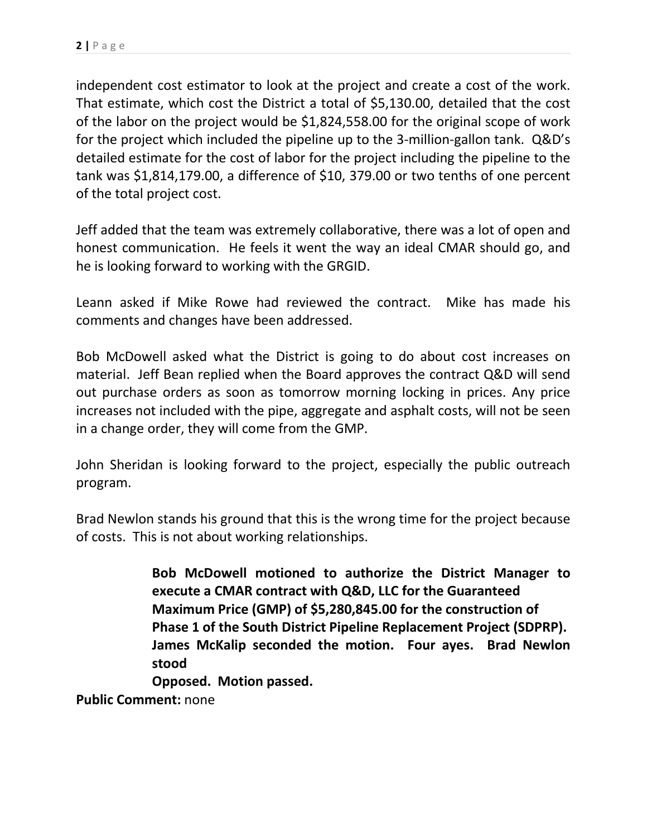independent cost estimator to look at the project and create a cost of the work. That estimate, which cost the District a total of \$5,130.00, detailed that the cost of the labor on the project would be \$1,824,558.00 for the original scope of work for the project which included the pipeline up to the 3-million-gallon tank. Q&D's detailed estimate for the cost of labor for the project including the pipeline to the tank was \$1,814,179.00, a difference of \$10, 379.00 or two tenths of one percent of the total project cost.

Jeff added that the team was extremely collaborative, there was a lot of open and honest communication. He feels it went the way an ideal CMAR should go, and he is looking forward to working with the GRGID.

Leann asked if Mike Rowe had reviewed the contract. Mike has made his comments and changes have been addressed.

Bob McDowell asked what the District is going to do about cost increases on material. Jeff Bean replied when the Board approves the contract Q&D will send out purchase orders as soon as tomorrow morning locking in prices.Any price increases not included with the pipe, aggregate and asphalt costs, will not be seen in a change order, they will come from the GMP.

John Sheridan is looking forward to the project, especially the public outreach program.

Brad Newlon stands his ground that this is the wrong time for the project because of costs. This is not about working relationships.

> **Bob McDowell motioned to authorize the District Manager to execute a CMAR contract with Q&D, LLC for the Guaranteed Maximum Price (GMP) of \$5,280,845.00 for the construction of Phase 1 of the South District Pipeline Replacement Project (SDPRP). James McKalip seconded the motion. Four ayes. Brad Newlon stood**

**Opposed. Motion passed.**

**Public Comment:** none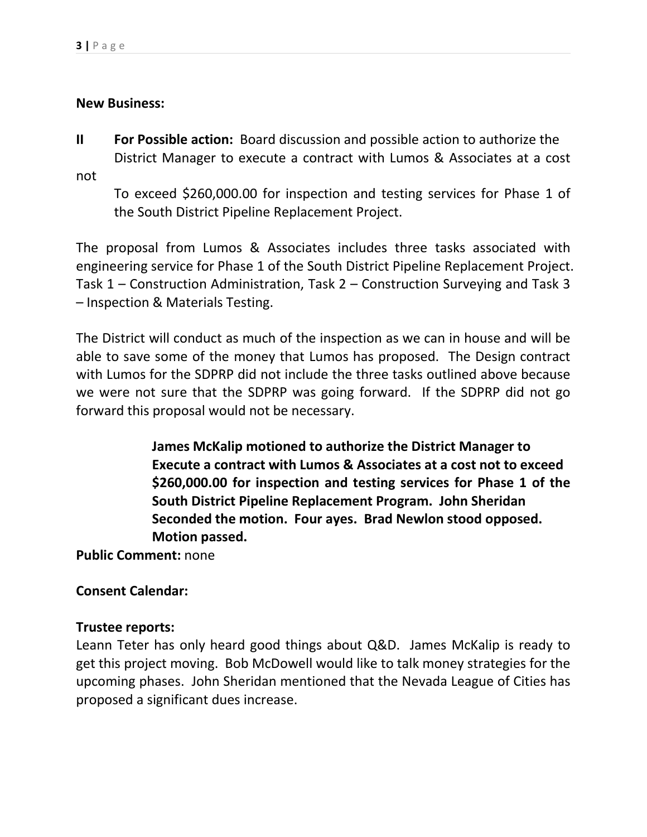#### **New Business:**

**II For Possible action:** Board discussion and possible action to authorize the District Manager to execute a contract with Lumos & Associates at a cost

not

To exceed \$260,000.00 for inspection and testing services for Phase 1 of the South District Pipeline Replacement Project.

The proposal from Lumos & Associates includes three tasks associated with engineering service for Phase 1 of the South District Pipeline Replacement Project. Task 1 – Construction Administration, Task 2 – Construction Surveying and Task 3 – Inspection & Materials Testing.

The District will conduct as much of the inspection as we can in house and will be able to save some of the money that Lumos has proposed. The Design contract with Lumos for the SDPRP did not include the three tasks outlined above because we were not sure that the SDPRP was going forward. If the SDPRP did not go forward this proposal would not be necessary.

> **James McKalip motioned to authorize the District Manager to Execute a contract with Lumos & Associates at a cost not to exceed \$260,000.00 for inspection and testing services for Phase 1 of the South District Pipeline Replacement Program. John Sheridan Seconded the motion.Four ayes. Brad Newlon stood opposed. Motion passed.**

**Public Comment:** none

## **Consent Calendar:**

#### **Trustee reports:**

Leann Teter has only heard good things about Q&D. James McKalip is ready to get this project moving. Bob McDowell would like to talk money strategies for the upcoming phases. John Sheridan mentioned that the Nevada League of Cities has proposed a significant dues increase.